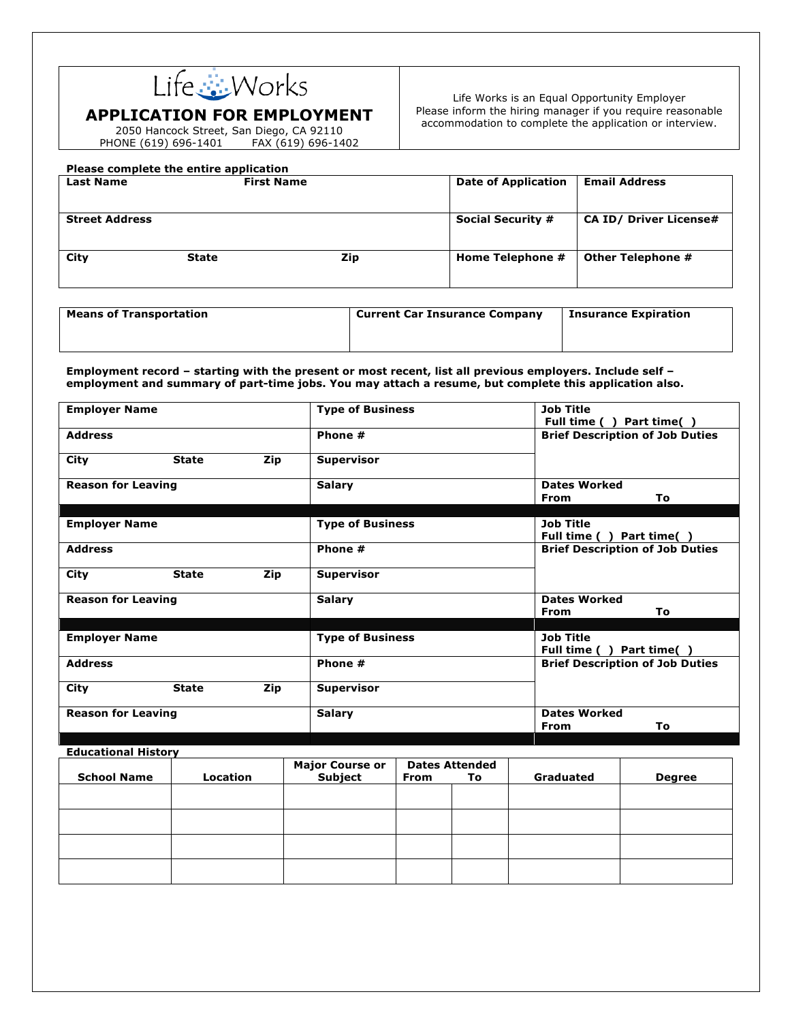

## **APPLICATION FOR EMPLOYMENT**

2050 Hancock Street, San Diego, CA 92110 PHONE (619) 696-1401 FAX (619) 696-1402

## **Please complete the entire application**

Life Works is an Equal Opportunity Employer Please inform the hiring manager if you require reasonable accommodation to complete the application or interview.

| <b>Last Name</b>      | Please complete the entire application<br><b>First Name</b> |     | <b>Date of Application</b> | <b>Email Address</b>          |
|-----------------------|-------------------------------------------------------------|-----|----------------------------|-------------------------------|
| <b>Street Address</b> |                                                             |     | <b>Social Security #</b>   | <b>CA ID/ Driver License#</b> |
| City                  | <b>State</b>                                                | Zip | Home Telephone #           | Other Telephone #             |
| $-$<br>$\sim$ $\sim$  | .                                                           |     | .                          | -<br>$\sim$ $\sim$            |

| <b>Means of Transportation</b> | <b>Current Car Insurance Company</b> | <b>Insurance Expiration</b> |
|--------------------------------|--------------------------------------|-----------------------------|
|                                |                                      |                             |
|                                |                                      |                             |

**Employment record – starting with the present or most recent, list all previous employers. Include self – employment and summary of part-time jobs. You may attach a resume, but complete this application also.**

| <b>Employer Name</b>      |              |               | <b>Type of Business</b>                  | <b>Job Title</b><br>Full time (<br>Part time()  |  |  |
|---------------------------|--------------|---------------|------------------------------------------|-------------------------------------------------|--|--|
| <b>Address</b>            |              |               | Phone #                                  | <b>Brief Description of Job Duties</b>          |  |  |
| City                      | <b>State</b> | Zip           | <b>Supervisor</b>                        |                                                 |  |  |
| <b>Reason for Leaving</b> |              |               | <b>Salary</b>                            | <b>Dates Worked</b><br>To<br><b>From</b>        |  |  |
| <b>Employer Name</b>      |              |               | <b>Type of Business</b>                  | <b>Job Title</b><br>Part time()<br>Full time () |  |  |
| <b>Address</b>            |              |               | Phone #                                  | <b>Brief Description of Job Duties</b>          |  |  |
| City                      | <b>State</b> | Zip           | <b>Supervisor</b>                        |                                                 |  |  |
| <b>Reason for Leaving</b> |              | <b>Salary</b> | <b>Dates Worked</b><br>To<br><b>From</b> |                                                 |  |  |
| <b>Employer Name</b>      |              |               | <b>Type of Business</b>                  | <b>Job Title</b><br>Part time()<br>Full time (  |  |  |
| <b>Address</b>            |              |               | Phone #                                  | <b>Brief Description of Job Duties</b>          |  |  |
| City                      | <b>State</b> | Zip           | <b>Supervisor</b>                        |                                                 |  |  |
| <b>Reason for Leaving</b> |              |               | <b>Salary</b>                            | <b>Dates Worked</b><br>To<br><b>From</b>        |  |  |

## **Educational History**

|                    |          | <b>Major Course or<br/>Subject</b> | <b>Dates Attended</b> |    |           |               |
|--------------------|----------|------------------------------------|-----------------------|----|-----------|---------------|
| <b>School Name</b> | Location |                                    | From                  | To | Graduated | <b>Degree</b> |
|                    |          |                                    |                       |    |           |               |
|                    |          |                                    |                       |    |           |               |
|                    |          |                                    |                       |    |           |               |
|                    |          |                                    |                       |    |           |               |
|                    |          |                                    |                       |    |           |               |
|                    |          |                                    |                       |    |           |               |
|                    |          |                                    |                       |    |           |               |
|                    |          |                                    |                       |    |           |               |